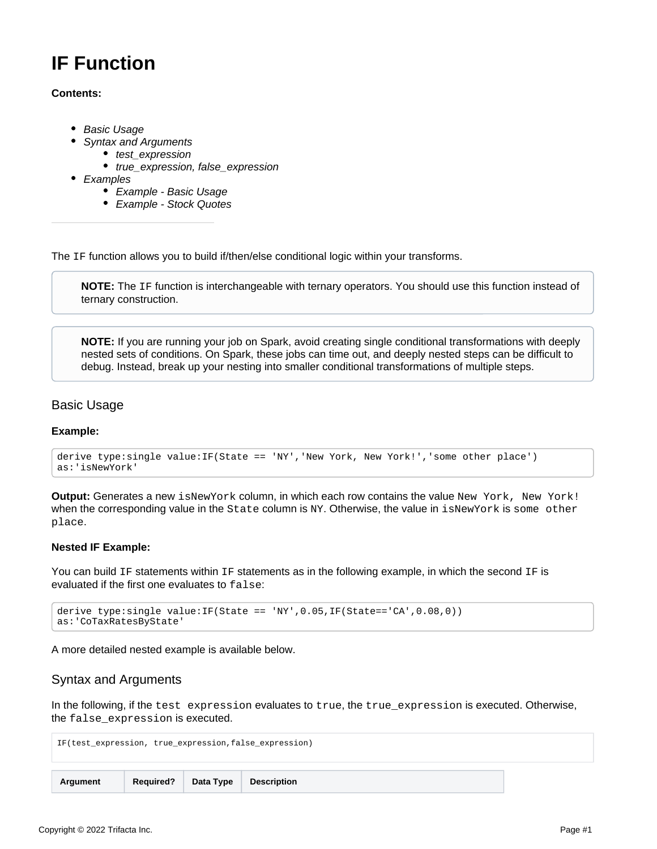# **IF Function**

## **Contents:**

- [Basic Usage](#page-0-0)
	- [Syntax and Arguments](#page-0-1)
		- [test\\_expression](#page-1-0)
			- [true\\_expression, false\\_expression](#page-1-1)
- [Examples](#page-1-2)
	- [Example Basic Usage](#page-1-3)
	- [Example Stock Quotes](#page-2-0)

The IF function allows you to build if/then/else conditional logic within your transforms.

**NOTE:** The IF function is interchangeable with ternary operators. You should use this function instead of ternary construction.

**NOTE:** If you are running your job on Spark, avoid creating single conditional transformations with deeply nested sets of conditions. On Spark, these jobs can time out, and deeply nested steps can be difficult to debug. Instead, break up your nesting into smaller conditional transformations of multiple steps.

# <span id="page-0-0"></span>Basic Usage

## **Example:**

```
derive type:single value:IF(State == 'NY','New York, New York!','some other place') 
as:'isNewYork'
```
**Output:** Generates a new isNewYork column, in which each row contains the value New York, New York! when the corresponding value in the State column is NY. Otherwise, the value in isNewYork is some other place.

#### **Nested IF Example:**

You can build IF statements within IF statements as in the following example, in which the second IF is evaluated if the first one evaluates to false:

```
derive type: single value: IF(State == 'NY', 0.05, IF(State=='CA', 0.08, 0))
as:'CoTaxRatesByState'
```
A more detailed nested example is available below.

# <span id="page-0-1"></span>Syntax and Arguments

In the following, if the test expression evaluates to true, the true\_expression is executed. Otherwise, the false\_expression is executed.

IF(test\_expression, true\_expression,false\_expression) **Argument Required? Data Type Description**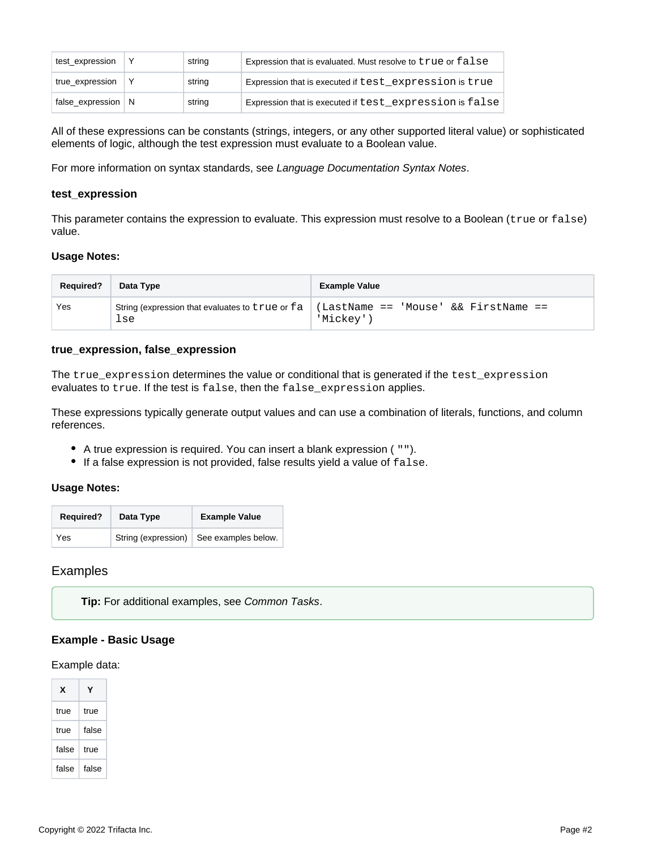| test_expression      | string | Expression that is evaluated. Must resolve to true or false |
|----------------------|--------|-------------------------------------------------------------|
| true_expression      | string | Expression that is executed if test expression is true      |
| false_expression   N | string | Expression that is executed if test expression is false     |

All of these expressions can be constants (strings, integers, or any other supported literal value) or sophisticated elements of logic, although the test expression must evaluate to a Boolean value.

For more information on syntax standards, see [Language Documentation Syntax Notes](https://docs.trifacta.com/display/r064/Language+Documentation+Syntax+Notes).

#### <span id="page-1-0"></span>**test\_expression**

This parameter contains the expression to evaluate. This expression must resolve to a Boolean (true or false) value.

#### **Usage Notes:**

| <b>Required?</b> | Data Type                                              | <b>Example Value</b>                              |
|------------------|--------------------------------------------------------|---------------------------------------------------|
| Yes              | String (expression that evaluates to true or fa<br>lse | (LastName == 'Mouse' && FirstName ==<br>'Mickev'' |

## <span id="page-1-1"></span>**true\_expression, false\_expression**

The true\_expression determines the value or conditional that is generated if the test\_expression evaluates to true. If the test is false, then the false\_expression applies.

These expressions typically generate output values and can use a combination of literals, functions, and column references.

- A true expression is required. You can insert a blank expression ( "").
- If a false expression is not provided, false results yield a value of false.

#### **Usage Notes:**

| <b>Required?</b> | Data Type | <b>Example Value</b>                    |  |
|------------------|-----------|-----------------------------------------|--|
| Yes              |           | String (expression) See examples below. |  |

## <span id="page-1-2"></span>Examples

**Tip:** For additional examples, see [Common Tasks](https://docs.trifacta.com/display/r064/Common+Tasks).

## <span id="page-1-3"></span>**Example - Basic Usage**

#### Example data:

| x     |       |
|-------|-------|
| true  | true  |
| true  | false |
| false | true  |
| false | false |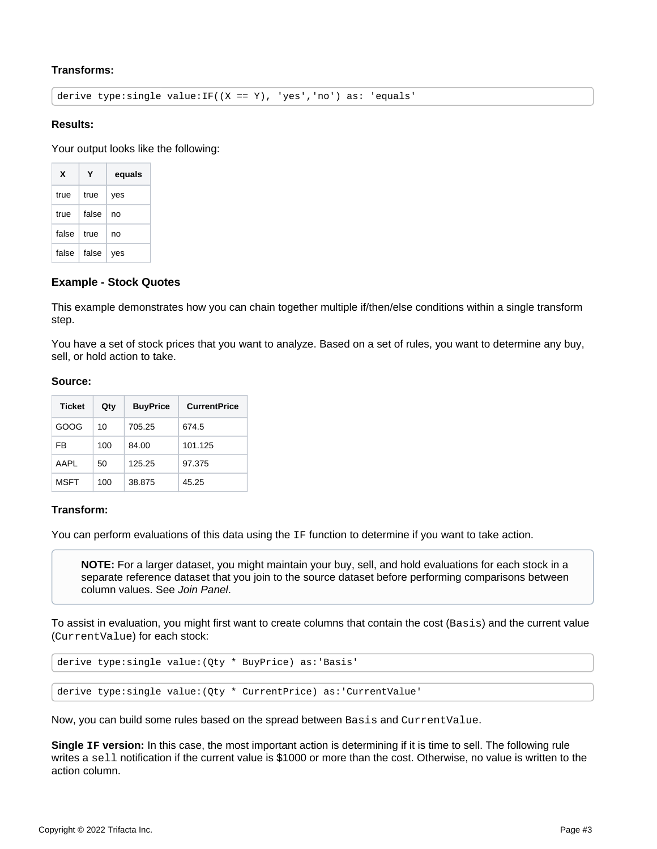# **Transforms:**

derive type: single value:  $IF((X == Y), 'yes', 'no')$  as: 'equals'

#### **Results:**

Your output looks like the following:

| x     | Υ     | equals |
|-------|-------|--------|
| true  | true  | yes    |
| true  | false | no     |
| false | true  | no     |
| false | false | ves    |

## <span id="page-2-0"></span>**Example - Stock Quotes**

This example demonstrates how you can chain together multiple if/then/else conditions within a single transform step.

You have a set of stock prices that you want to analyze. Based on a set of rules, you want to determine any buy, sell, or hold action to take.

#### **Source:**

| <b>Ticket</b> | Qty | <b>BuyPrice</b> | <b>CurrentPrice</b> |
|---------------|-----|-----------------|---------------------|
| GOOG          | 10  | 705.25          | 674.5               |
| FB            | 100 | 84.00           | 101.125             |
| AAPI          | 50  | 125.25          | 97.375              |
| <b>MSFT</b>   | 100 | 38.875          | 45.25               |

## **Transform:**

You can perform evaluations of this data using the IF function to determine if you want to take action.

**NOTE:** For a larger dataset, you might maintain your buy, sell, and hold evaluations for each stock in a separate reference dataset that you join to the source dataset before performing comparisons between column values. See [Join Panel](https://docs.trifacta.com/display/r064/Join+Panel).

To assist in evaluation, you might first want to create columns that contain the cost (Basis) and the current value (CurrentValue) for each stock:

derive type:single value:(Qty \* BuyPrice) as:'Basis'

derive type:single value:(Qty \* CurrentPrice) as:'CurrentValue'

Now, you can build some rules based on the spread between Basis and CurrentValue.

**Single IF version:** In this case, the most important action is determining if it is time to sell. The following rule writes a sell notification if the current value is \$1000 or more than the cost. Otherwise, no value is written to the action column.